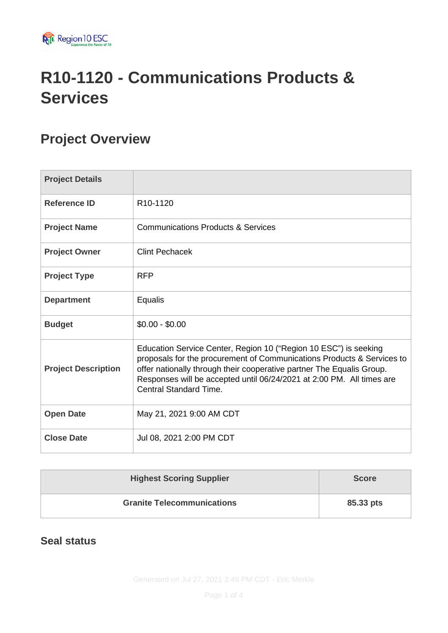

# **R10-1120 - Communications Products & Services**

### **Project Overview**

| <b>Project Details</b>     |                                                                                                                                                                                                                                                                                                                               |
|----------------------------|-------------------------------------------------------------------------------------------------------------------------------------------------------------------------------------------------------------------------------------------------------------------------------------------------------------------------------|
| <b>Reference ID</b>        | R <sub>10</sub> -1120                                                                                                                                                                                                                                                                                                         |
| <b>Project Name</b>        | <b>Communications Products &amp; Services</b>                                                                                                                                                                                                                                                                                 |
| <b>Project Owner</b>       | <b>Clint Pechacek</b>                                                                                                                                                                                                                                                                                                         |
| <b>Project Type</b>        | <b>RFP</b>                                                                                                                                                                                                                                                                                                                    |
| <b>Department</b>          | Equalis                                                                                                                                                                                                                                                                                                                       |
| <b>Budget</b>              | $$0.00 - $0.00$                                                                                                                                                                                                                                                                                                               |
| <b>Project Description</b> | Education Service Center, Region 10 ("Region 10 ESC") is seeking<br>proposals for the procurement of Communications Products & Services to<br>offer nationally through their cooperative partner The Equalis Group.<br>Responses will be accepted until 06/24/2021 at 2:00 PM. All times are<br><b>Central Standard Time.</b> |
| <b>Open Date</b>           | May 21, 2021 9:00 AM CDT                                                                                                                                                                                                                                                                                                      |
| <b>Close Date</b>          | Jul 08, 2021 2:00 PM CDT                                                                                                                                                                                                                                                                                                      |

| <b>Highest Scoring Supplier</b>   | <b>Score</b> |
|-----------------------------------|--------------|
| <b>Granite Telecommunications</b> | 85.33 pts    |

#### **Seal status**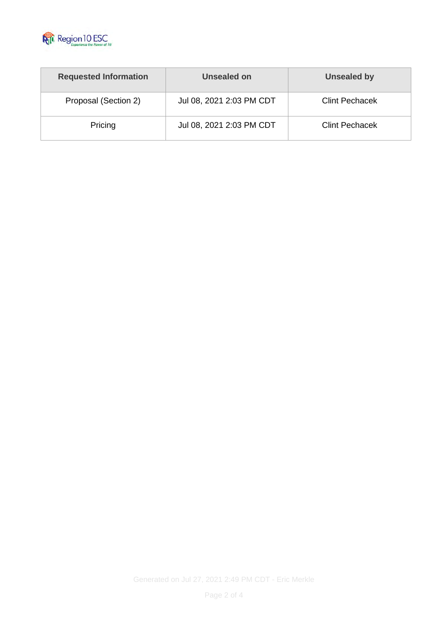

| <b>Requested Information</b> | Unsealed on              | Unsealed by           |  |
|------------------------------|--------------------------|-----------------------|--|
| Proposal (Section 2)         | Jul 08, 2021 2:03 PM CDT | <b>Clint Pechacek</b> |  |
| Pricing                      | Jul 08, 2021 2:03 PM CDT | <b>Clint Pechacek</b> |  |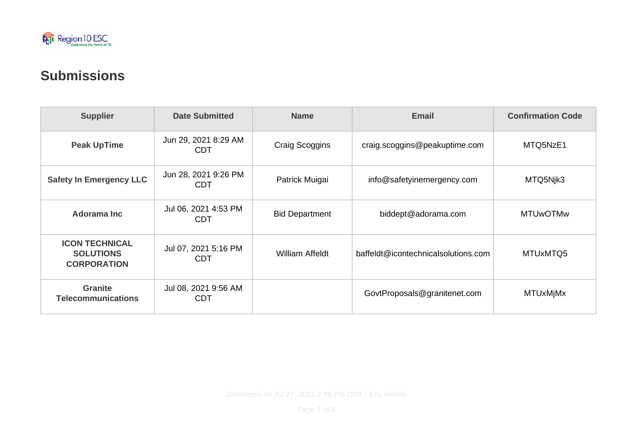

### **Submissions**

| <b>Supplier</b>                                                 | <b>Date Submitted</b>              | <b>Name</b>            | <b>Email</b>                        | <b>Confirmation Code</b> |
|-----------------------------------------------------------------|------------------------------------|------------------------|-------------------------------------|--------------------------|
| <b>Peak UpTime</b>                                              | Jun 29, 2021 8:29 AM<br><b>CDT</b> | <b>Craig Scoggins</b>  | craig.scoggins@peakuptime.com       | MTQ5NzE1                 |
| <b>Safety In Emergency LLC</b>                                  | Jun 28, 2021 9:26 PM<br><b>CDT</b> | Patrick Muigai         | info@safetyinemergency.com          | MTQ5Njk3                 |
| <b>Adorama Inc</b>                                              | Jul 06, 2021 4:53 PM<br><b>CDT</b> | <b>Bid Department</b>  | biddept@adorama.com                 | <b>MTUwOTMw</b>          |
| <b>ICON TECHNICAL</b><br><b>SOLUTIONS</b><br><b>CORPORATION</b> | Jul 07, 2021 5:16 PM<br><b>CDT</b> | <b>William Affeldt</b> | baffeldt@icontechnicalsolutions.com | MTUxMTQ5                 |
| <b>Granite</b><br><b>Telecommunications</b>                     | Jul 08, 2021 9:56 AM<br><b>CDT</b> |                        | GovtProposals@granitenet.com        | <b>MTUxMjMx</b>          |